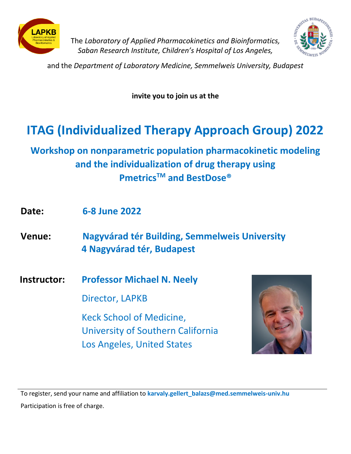



The *Laboratory of Applied Pharmacokinetics and Bioinformatics, Saban Research Institute, Children's Hospital of Los Angeles,*

and the *Department of Laboratory Medicine, Semmelweis University, Budapest*

**invite you to join us at the**

## **ITAG (Individualized Therapy Approach Group) 2022**

**Workshop on nonparametric population pharmacokinetic modeling and the individualization of drug therapy using PmetricsTM and BestDose®**

- **Date: 6-8 June 2022**
- **Venue: Nagyvárad tér Building, Semmelweis University 4 Nagyvárad tér, Budapest**
- **Instructor: Professor Michael N. Neely**

Director, LAPKB

Keck School of Medicine, University of Southern California Los Angeles, United States



To register, send your name and affiliation to **[karvaly.gellert\\_balazs@med.semmelweis-univ.hu](mailto:karvaly.gellert_balazs@med.semmelweis-univ.hu)** Participation is free of charge.